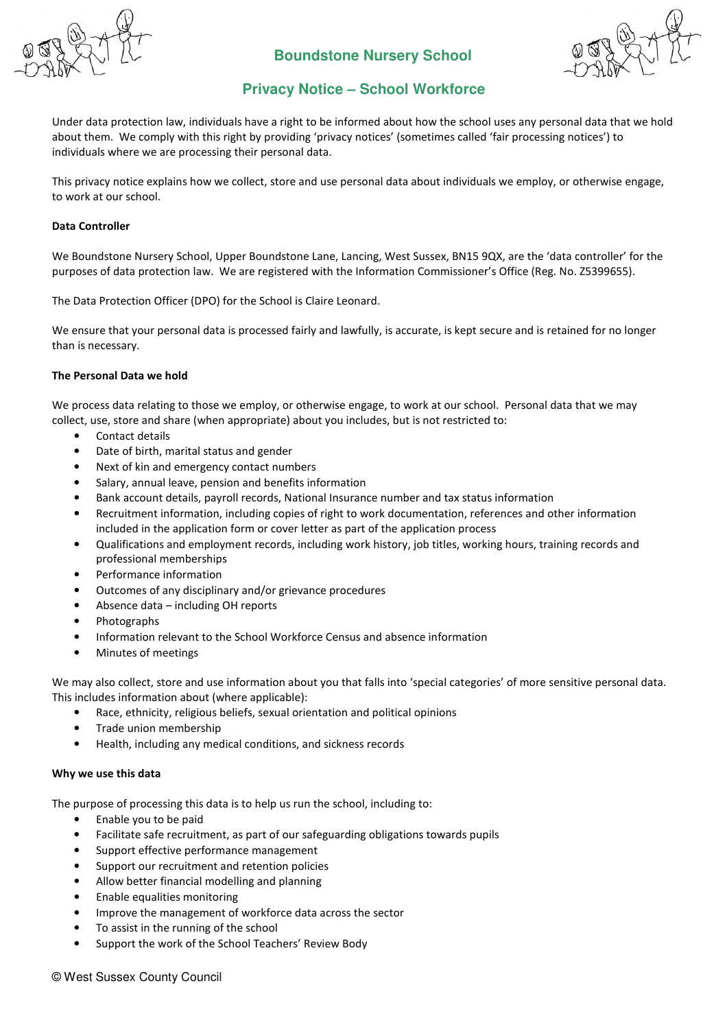

# **Boundstone Nursery School**



# **Privacy Notice – School Workforce**

Under data protection law, individuals have a right to be informed about how the school uses any personal data that we hold about them. We comply with this right by providing 'privacy notices' (sometimes called 'fair processing notices') to individuals where we are processing their personal data.

This privacy notice explains how we collect, store and use personal data about individuals we employ, or otherwise engage, to work at our school.

# Data Controller

We Boundstone Nursery School, Upper Boundstone Lane, Lancing, West Sussex, BN15 9QX, are the 'data controller' for the purposes of data protection law. We are registered with the Information Commissioner's Office (Reg. No. Z5399655).

The Data Protection Officer (DPO) for the School is Claire Leonard.

We ensure that your personal data is processed fairly and lawfully, is accurate, is kept secure and is retained for no longer than is necessary.

#### The Personal Data we hold

We process data relating to those we employ, or otherwise engage, to work at our school. Personal data that we may collect, use, store and share (when appropriate) about you includes, but is not restricted to:

- Contact details
- Date of birth, marital status and gender
- Next of kin and emergency contact numbers
- Salary, annual leave, pension and benefits information
- Bank account details, payroll records, National Insurance number and tax status information
- Recruitment information, including copies of right to work documentation, references and other information included in the application form or cover letter as part of the application process
- Qualifications and employment records, including work history, job titles, working hours, training records and professional memberships
- Performance information
- Outcomes of any disciplinary and/or grievance procedures
- Absence data including OH reports
- Photographs
- Information relevant to the School Workforce Census and absence information
- Minutes of meetings

We may also collect, store and use information about you that falls into 'special categories' of more sensitive personal data. This includes information about (where applicable):

- Race, ethnicity, religious beliefs, sexual orientation and political opinions
- Trade union membership
- Health, including any medical conditions, and sickness records

# Why we use this data

The purpose of processing this data is to help us run the school, including to:

- Enable you to be paid
- Facilitate safe recruitment, as part of our safeguarding obligations towards pupils
- Support effective performance management
- Support our recruitment and retention policies
- Allow better financial modelling and planning
- Enable equalities monitoring
- Improve the management of workforce data across the sector
- To assist in the running of the school
- Support the work of the School Teachers' Review Body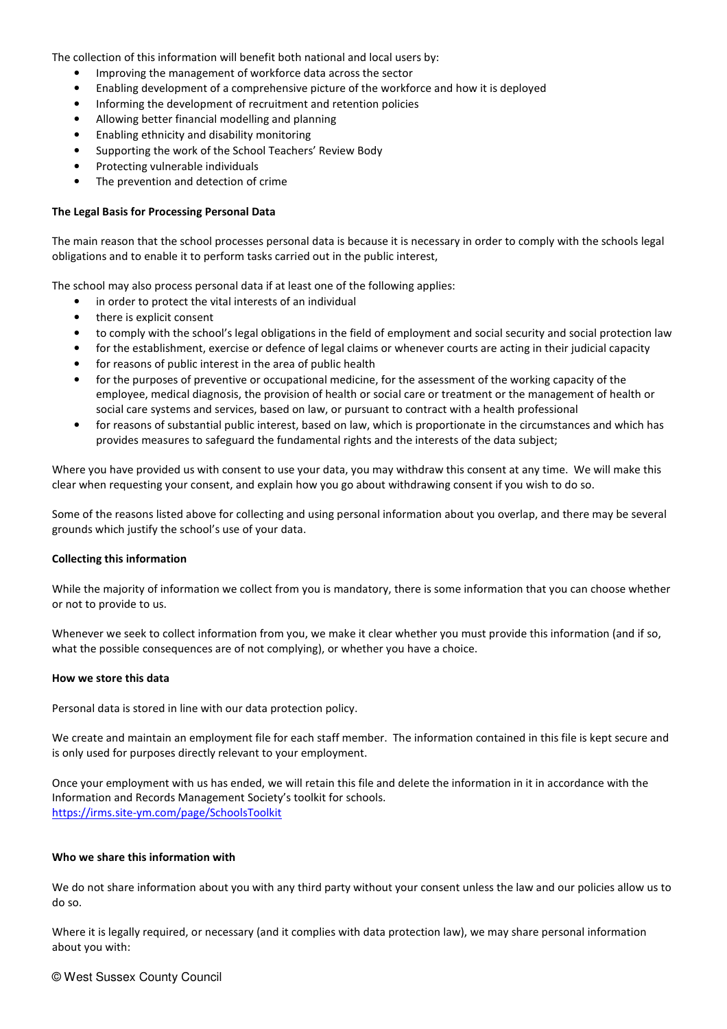The collection of this information will benefit both national and local users by:

- Improving the management of workforce data across the sector
- Enabling development of a comprehensive picture of the workforce and how it is deployed
- Informing the development of recruitment and retention policies
- Allowing better financial modelling and planning
- Enabling ethnicity and disability monitoring
- Supporting the work of the School Teachers' Review Body
- Protecting vulnerable individuals
- The prevention and detection of crime

#### The Legal Basis for Processing Personal Data

The main reason that the school processes personal data is because it is necessary in order to comply with the schools legal obligations and to enable it to perform tasks carried out in the public interest,

The school may also process personal data if at least one of the following applies:

- in order to protect the vital interests of an individual
- there is explicit consent
- to comply with the school's legal obligations in the field of employment and social security and social protection law
- for the establishment, exercise or defence of legal claims or whenever courts are acting in their judicial capacity
- for reasons of public interest in the area of public health
- for the purposes of preventive or occupational medicine, for the assessment of the working capacity of the employee, medical diagnosis, the provision of health or social care or treatment or the management of health or social care systems and services, based on law, or pursuant to contract with a health professional
- for reasons of substantial public interest, based on law, which is proportionate in the circumstances and which has provides measures to safeguard the fundamental rights and the interests of the data subject;

Where you have provided us with consent to use your data, you may withdraw this consent at any time. We will make this clear when requesting your consent, and explain how you go about withdrawing consent if you wish to do so.

Some of the reasons listed above for collecting and using personal information about you overlap, and there may be several grounds which justify the school's use of your data.

#### Collecting this information

While the majority of information we collect from you is mandatory, there is some information that you can choose whether or not to provide to us.

Whenever we seek to collect information from you, we make it clear whether you must provide this information (and if so, what the possible consequences are of not complying), or whether you have a choice.

#### How we store this data

Personal data is stored in line with our data protection policy.

We create and maintain an employment file for each staff member. The information contained in this file is kept secure and is only used for purposes directly relevant to your employment.

Once your employment with us has ended, we will retain this file and delete the information in it in accordance with the Information and Records Management Society's toolkit for schools. https://irms.site-ym.com/page/SchoolsToolkit

#### Who we share this information with

We do not share information about you with any third party without your consent unless the law and our policies allow us to do so.

Where it is legally required, or necessary (and it complies with data protection law), we may share personal information about you with:

#### © West Sussex County Council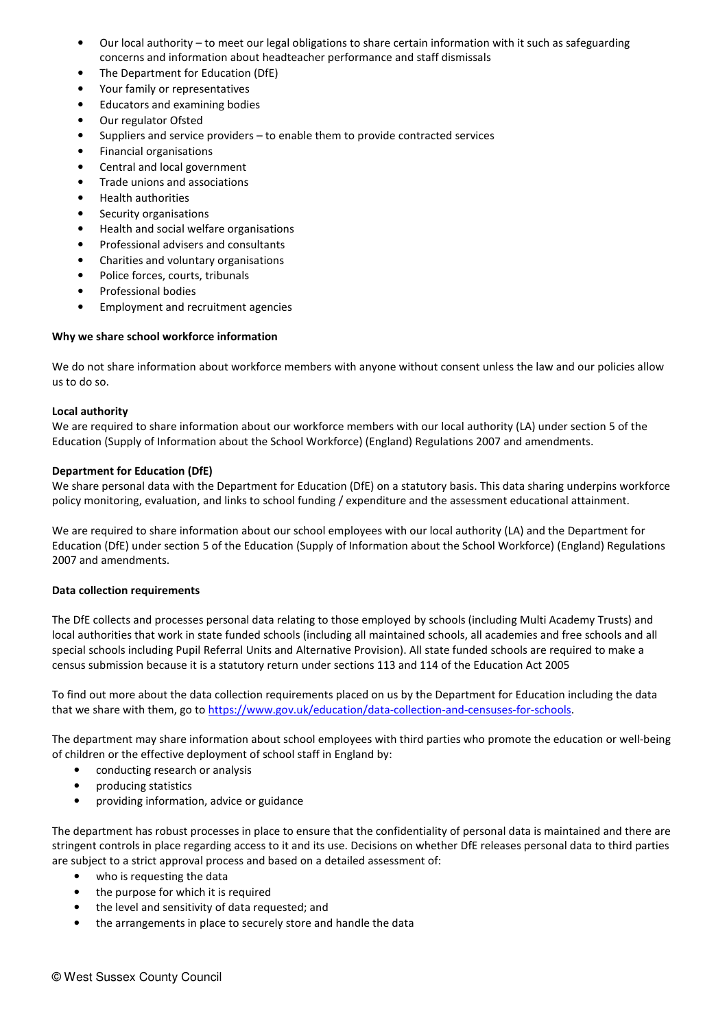- Our local authority to meet our legal obligations to share certain information with it such as safeguarding concerns and information about headteacher performance and staff dismissals
- The Department for Education (DfE)
- Your family or representatives
- Educators and examining bodies
- Our regulator Ofsted
- Suppliers and service providers to enable them to provide contracted services
- Financial organisations
- Central and local government
- Trade unions and associations
- Health authorities
- Security organisations
- Health and social welfare organisations
- Professional advisers and consultants
- Charities and voluntary organisations
- Police forces, courts, tribunals
- Professional bodies
- Employment and recruitment agencies

# Why we share school workforce information

We do not share information about workforce members with anyone without consent unless the law and our policies allow us to do so.

#### Local authority

We are required to share information about our workforce members with our local authority (LA) under section 5 of the Education (Supply of Information about the School Workforce) (England) Regulations 2007 and amendments.

#### Department for Education (DfE)

We share personal data with the Department for Education (DfE) on a statutory basis. This data sharing underpins workforce policy monitoring, evaluation, and links to school funding / expenditure and the assessment educational attainment.

We are required to share information about our school employees with our local authority (LA) and the Department for Education (DfE) under section 5 of the Education (Supply of Information about the School Workforce) (England) Regulations 2007 and amendments.

# Data collection requirements

The DfE collects and processes personal data relating to those employed by schools (including Multi Academy Trusts) and local authorities that work in state funded schools (including all maintained schools, all academies and free schools and all special schools including Pupil Referral Units and Alternative Provision). All state funded schools are required to make a census submission because it is a statutory return under sections 113 and 114 of the Education Act 2005

To find out more about the data collection requirements placed on us by the Department for Education including the data that we share with them, go to https://www.gov.uk/education/data-collection-and-censuses-for-schools.

The department may share information about school employees with third parties who promote the education or well-being of children or the effective deployment of school staff in England by:

- conducting research or analysis
- producing statistics
- providing information, advice or guidance

The department has robust processes in place to ensure that the confidentiality of personal data is maintained and there are stringent controls in place regarding access to it and its use. Decisions on whether DfE releases personal data to third parties are subject to a strict approval process and based on a detailed assessment of:

- who is requesting the data
- the purpose for which it is required
- the level and sensitivity of data requested; and
- the arrangements in place to securely store and handle the data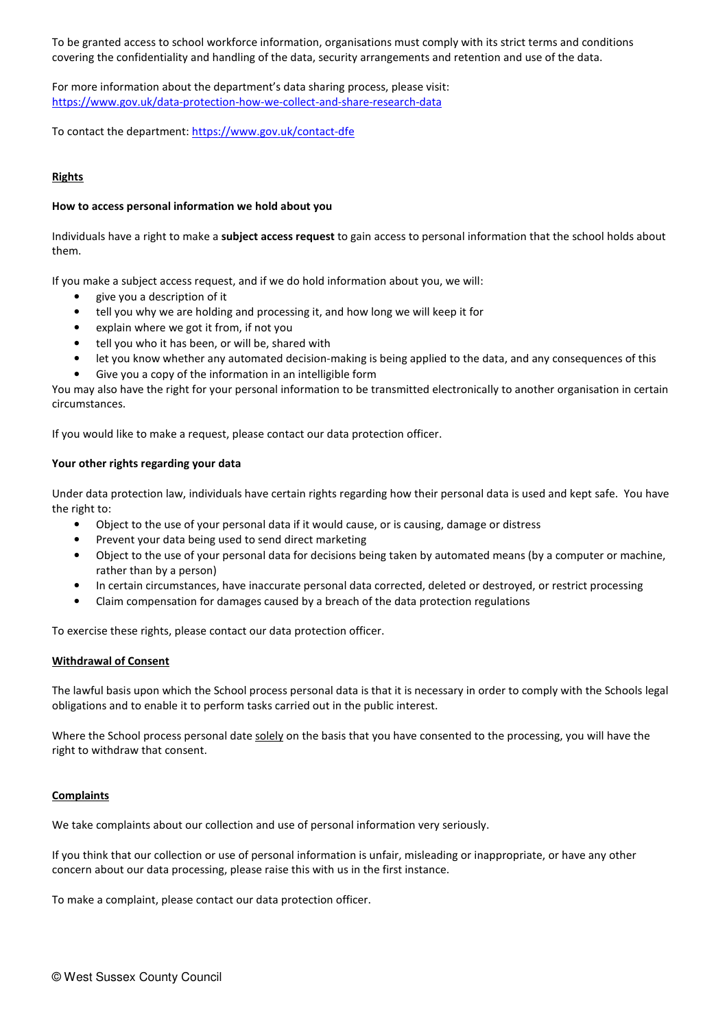To be granted access to school workforce information, organisations must comply with its strict terms and conditions covering the confidentiality and handling of the data, security arrangements and retention and use of the data.

For more information about the department's data sharing process, please visit: https://www.gov.uk/data-protection-how-we-collect-and-share-research-data

To contact the department: https://www.gov.uk/contact-dfe

# Rights

# How to access personal information we hold about you

Individuals have a right to make a subject access request to gain access to personal information that the school holds about them.

If you make a subject access request, and if we do hold information about you, we will:

- give you a description of it
- tell you why we are holding and processing it, and how long we will keep it for
- explain where we got it from, if not you
- tell you who it has been, or will be, shared with
- let you know whether any automated decision-making is being applied to the data, and any consequences of this
- Give you a copy of the information in an intelligible form

You may also have the right for your personal information to be transmitted electronically to another organisation in certain circumstances.

If you would like to make a request, please contact our data protection officer.

# Your other rights regarding your data

Under data protection law, individuals have certain rights regarding how their personal data is used and kept safe. You have the right to:

- Object to the use of your personal data if it would cause, or is causing, damage or distress
- Prevent your data being used to send direct marketing
- Object to the use of your personal data for decisions being taken by automated means (by a computer or machine, rather than by a person)
- In certain circumstances, have inaccurate personal data corrected, deleted or destroyed, or restrict processing
- Claim compensation for damages caused by a breach of the data protection regulations

To exercise these rights, please contact our data protection officer.

# Withdrawal of Consent

The lawful basis upon which the School process personal data is that it is necessary in order to comply with the Schools legal obligations and to enable it to perform tasks carried out in the public interest.

Where the School process personal date solely on the basis that you have consented to the processing, you will have the right to withdraw that consent.

# **Complaints**

We take complaints about our collection and use of personal information very seriously.

If you think that our collection or use of personal information is unfair, misleading or inappropriate, or have any other concern about our data processing, please raise this with us in the first instance.

To make a complaint, please contact our data protection officer.